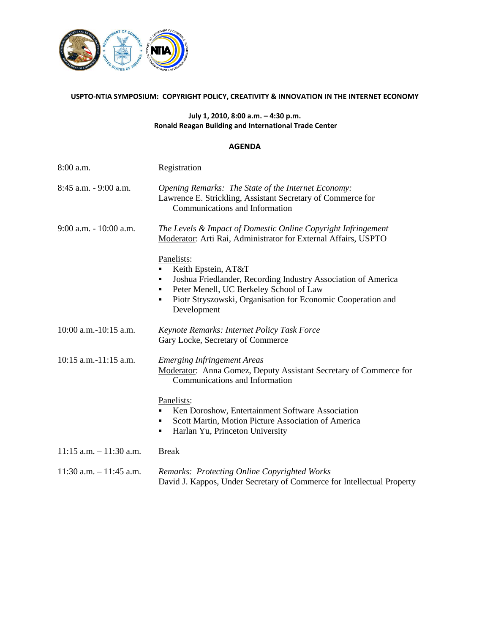

## **USPTO-NTIA SYMPOSIUM: COPYRIGHT POLICY, CREATIVITY & INNOVATION IN THE INTERNET ECONOMY**

## **July 1, 2010, 8:00 a.m. – 4:30 p.m. Ronald Reagan Building and International Trade Center**

## **AGENDA**

| 8:00 a.m.                  | Registration                                                                                                                                                                                                                           |
|----------------------------|----------------------------------------------------------------------------------------------------------------------------------------------------------------------------------------------------------------------------------------|
| 8:45 a.m. - 9:00 a.m.      | Opening Remarks: The State of the Internet Economy:<br>Lawrence E. Strickling, Assistant Secretary of Commerce for<br>Communications and Information                                                                                   |
| $9:00$ a.m. $-10:00$ a.m.  | The Levels & Impact of Domestic Online Copyright Infringement<br>Moderator: Arti Rai, Administrator for External Affairs, USPTO                                                                                                        |
|                            | Panelists:<br>Keith Epstein, AT&T<br>Joshua Friedlander, Recording Industry Association of America<br>Peter Menell, UC Berkeley School of Law<br>٠<br>Piotr Stryszowski, Organisation for Economic Cooperation and<br>٠<br>Development |
| 10:00 a.m.-10:15 a.m.      | Keynote Remarks: Internet Policy Task Force<br>Gary Locke, Secretary of Commerce                                                                                                                                                       |
| $10:15$ a.m.-11:15 a.m.    | <b>Emerging Infringement Areas</b><br>Moderator: Anna Gomez, Deputy Assistant Secretary of Commerce for<br>Communications and Information                                                                                              |
|                            | Panelists:<br>Ken Doroshow, Entertainment Software Association<br>Scott Martin, Motion Picture Association of America<br>٠<br>Harlan Yu, Princeton University<br>٠                                                                     |
| $11:15$ a.m. $-11:30$ a.m. | <b>Break</b>                                                                                                                                                                                                                           |
| $11:30$ a.m. $-11:45$ a.m. | Remarks: Protecting Online Copyrighted Works<br>David J. Kappos, Under Secretary of Commerce for Intellectual Property                                                                                                                 |